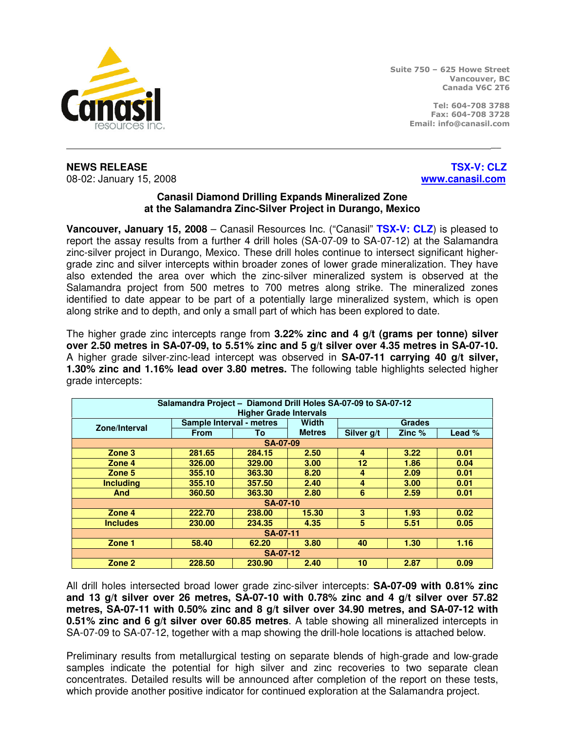

Suite 750 – 625 Howe Street Vancouver, BC Canada V6C 2T6

> Tel: 604-708 3788 Fax: 604-708 3728 Email: info@canasil.com

**NEWS RELEASE** THE RELOCAL CONSULTANCE IN A SERIES OF THE RELOCAL CONSULTANCE IN A SERIES OF THE RELOCAL CONSULTANCE IN A SERIES OF THE RELOCAL CONSULTANCE IN A SERIES OF THE RELOCAL CONSULTANCE IN A SERIES OF THE RELOCAL 08-02: January 15, 2008 **www.canasil.com**

## **Canasil Diamond Drilling Expands Mineralized Zone at the Salamandra Zinc-Silver Project in Durango, Mexico**

\_\_

**Vancouver, January 15, 2008** – Canasil Resources Inc. ("Canasil" **TSX-V: CLZ**) is pleased to report the assay results from a further 4 drill holes (SA-07-09 to SA-07-12) at the Salamandra zinc-silver project in Durango, Mexico. These drill holes continue to intersect significant highergrade zinc and silver intercepts within broader zones of lower grade mineralization. They have also extended the area over which the zinc-silver mineralized system is observed at the Salamandra project from 500 metres to 700 metres along strike. The mineralized zones identified to date appear to be part of a potentially large mineralized system, which is open along strike and to depth, and only a small part of which has been explored to date.

The higher grade zinc intercepts range from **3.22% zinc and 4 g/t (grams per tonne) silver over 2.50 metres in SA-07-09, to 5.51% zinc and 5 g/t silver over 4.35 metres in SA-07-10.**  A higher grade silver-zinc-lead intercept was observed in **SA-07-11 carrying 40 g/t silver, 1.30% zinc and 1.16% lead over 3.80 metres.** The following table highlights selected higher grade intercepts:

| Salamandra Project - Diamond Drill Holes SA-07-09 to SA-07-12 |                          |        |               |               |          |          |  |  |  |  |
|---------------------------------------------------------------|--------------------------|--------|---------------|---------------|----------|----------|--|--|--|--|
| <b>Higher Grade Intervals</b>                                 |                          |        |               |               |          |          |  |  |  |  |
| Zone/Interval                                                 | Sample Interval - metres |        | Width         | <b>Grades</b> |          |          |  |  |  |  |
|                                                               | <b>From</b>              | To     | <b>Metres</b> | Silver g/t    | Zinc $%$ | Lead $%$ |  |  |  |  |
| SA-07-09                                                      |                          |        |               |               |          |          |  |  |  |  |
| Zone 3                                                        | 281.65                   | 284.15 | 2.50          | 4             | 3.22     | 0.01     |  |  |  |  |
| Zone 4                                                        | 326.00                   | 329.00 | 3.00          | 12            | 1.86     | 0.04     |  |  |  |  |
| Zone 5                                                        | 355.10                   | 363.30 | 8.20          | 4             | 2.09     | 0.01     |  |  |  |  |
| <b>Including</b>                                              | 355.10                   | 357.50 | 2.40          | 4             | 3.00     | 0.01     |  |  |  |  |
| <b>And</b>                                                    | 360.50                   | 363.30 | 2.80          | 6             | 2.59     | 0.01     |  |  |  |  |
| SA-07-10                                                      |                          |        |               |               |          |          |  |  |  |  |
| Zone 4                                                        | 222.70                   | 238.00 | 15.30         | 3             | 1.93     | 0.02     |  |  |  |  |
| <b>Includes</b>                                               | 230.00                   | 234.35 | 4.35          | 5             | 5.51     | 0.05     |  |  |  |  |
| SA-07-11                                                      |                          |        |               |               |          |          |  |  |  |  |
| Zone 1                                                        | 58.40                    | 62.20  | 3.80          | 40            | 1.30     | 1.16     |  |  |  |  |
| SA-07-12                                                      |                          |        |               |               |          |          |  |  |  |  |
| Zone 2                                                        | 228.50                   | 230.90 | 2.40          | 10            | 2.87     | 0.09     |  |  |  |  |

All drill holes intersected broad lower grade zinc-silver intercepts: **SA-07-09 with 0.81% zinc and 13 g/t silver over 26 metres, SA-07-10 with 0.78% zinc and 4 g/t silver over 57.82 metres, SA-07-11 with 0.50% zinc and 8 g/t silver over 34.90 metres, and SA-07-12 with 0.51% zinc and 6 g/t silver over 60.85 metres**. A table showing all mineralized intercepts in SA-07-09 to SA-07-12, together with a map showing the drill-hole locations is attached below.

Preliminary results from metallurgical testing on separate blends of high-grade and low-grade samples indicate the potential for high silver and zinc recoveries to two separate clean concentrates. Detailed results will be announced after completion of the report on these tests, which provide another positive indicator for continued exploration at the Salamandra project.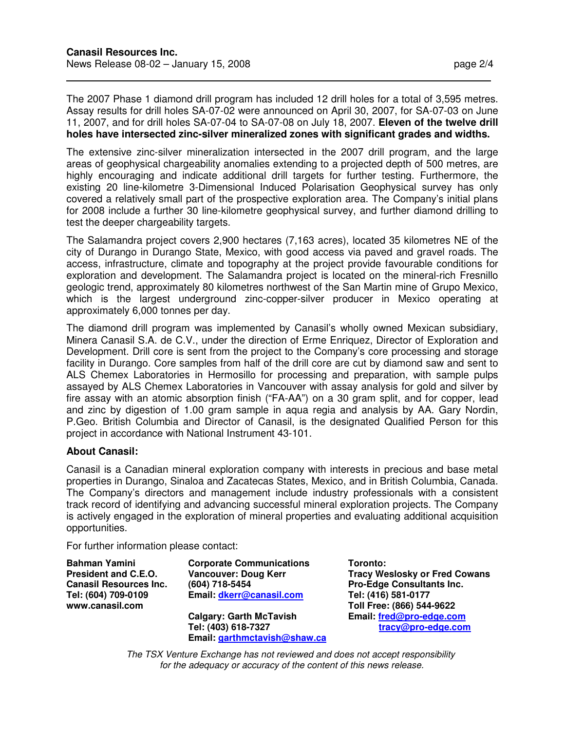$\overline{a}$ 

The 2007 Phase 1 diamond drill program has included 12 drill holes for a total of 3,595 metres. Assay results for drill holes SA-07-02 were announced on April 30, 2007, for SA-07-03 on June 11, 2007, and for drill holes SA-07-04 to SA-07-08 on July 18, 2007. **Eleven of the twelve drill holes have intersected zinc-silver mineralized zones with significant grades and widths.**

The extensive zinc-silver mineralization intersected in the 2007 drill program, and the large areas of geophysical chargeability anomalies extending to a projected depth of 500 metres, are highly encouraging and indicate additional drill targets for further testing. Furthermore, the existing 20 line-kilometre 3-Dimensional Induced Polarisation Geophysical survey has only covered a relatively small part of the prospective exploration area. The Company's initial plans for 2008 include a further 30 line-kilometre geophysical survey, and further diamond drilling to test the deeper chargeability targets.

The Salamandra project covers 2,900 hectares (7,163 acres), located 35 kilometres NE of the city of Durango in Durango State, Mexico, with good access via paved and gravel roads. The access, infrastructure, climate and topography at the project provide favourable conditions for exploration and development. The Salamandra project is located on the mineral-rich Fresnillo geologic trend, approximately 80 kilometres northwest of the San Martin mine of Grupo Mexico, which is the largest underground zinc-copper-silver producer in Mexico operating at approximately 6,000 tonnes per day.

The diamond drill program was implemented by Canasil's wholly owned Mexican subsidiary, Minera Canasil S.A. de C.V., under the direction of Erme Enriquez, Director of Exploration and Development. Drill core is sent from the project to the Company's core processing and storage facility in Durango. Core samples from half of the drill core are cut by diamond saw and sent to ALS Chemex Laboratories in Hermosillo for processing and preparation, with sample pulps assayed by ALS Chemex Laboratories in Vancouver with assay analysis for gold and silver by fire assay with an atomic absorption finish ("FA-AA") on a 30 gram split, and for copper, lead and zinc by digestion of 1.00 gram sample in aqua regia and analysis by AA. Gary Nordin, P.Geo. British Columbia and Director of Canasil, is the designated Qualified Person for this project in accordance with National Instrument 43-101.

## **About Canasil:**

Canasil is a Canadian mineral exploration company with interests in precious and base metal properties in Durango, Sinaloa and Zacatecas States, Mexico, and in British Columbia, Canada. The Company's directors and management include industry professionals with a consistent track record of identifying and advancing successful mineral exploration projects. The Company is actively engaged in the exploration of mineral properties and evaluating additional acquisition opportunities.

For further information please contact:

**Bahman Yamini President and C.E.O. Canasil Resources Inc. Tel: (604) 709-0109 www.canasil.com** 

**Corporate Communications Vancouver: Doug Kerr (604) 718-5454 Email: dkerr@canasil.com**

**Calgary: Garth McTavish Tel: (403) 618-7327 Email: garthmctavish@shaw.ca**  **Toronto: Tracy Weslosky or Fred Cowans Pro-Edge Consultants Inc. Tel: (416) 581-0177 Toll Free: (866) 544-9622 Email: fred@pro-edge.com tracy@pro-edge.com**

The TSX Venture Exchange has not reviewed and does not accept responsibility for the adequacy or accuracy of the content of this news release.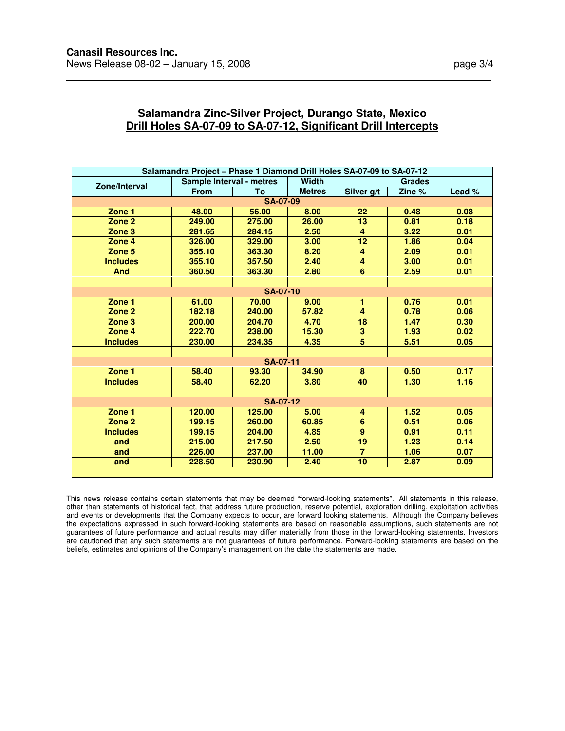$\overline{a}$ 

| Salamandra Project - Phase 1 Diamond Drill Holes SA-07-09 to SA-07-12 |                          |        |               |                         |        |        |  |  |  |  |
|-----------------------------------------------------------------------|--------------------------|--------|---------------|-------------------------|--------|--------|--|--|--|--|
| Zone/Interval                                                         | Sample Interval - metres |        | <b>Width</b>  | Grades                  |        |        |  |  |  |  |
|                                                                       | <b>From</b>              | Τo     | <b>Metres</b> | Silver g/t              | Zinc % | Lead % |  |  |  |  |
| <b>SA-07-09</b>                                                       |                          |        |               |                         |        |        |  |  |  |  |
| Zone 1                                                                | 48.00                    | 56.00  | 8.00          | 22                      | 0.48   | 0.08   |  |  |  |  |
| Zone 2                                                                | 249.00                   | 275.00 | 26.00         | 13                      | 0.81   | 0.18   |  |  |  |  |
| Zone $3$                                                              | 281.65                   | 284.15 | 2.50          | $\overline{4}$          | 3.22   | 0.01   |  |  |  |  |
| Zone 4                                                                | 326.00                   | 329.00 | 3.00          | $\overline{12}$         | 1.86   | 0.04   |  |  |  |  |
| Zone 5                                                                | 355.10                   | 363.30 | 8.20          | 4                       | 2.09   | 0.01   |  |  |  |  |
| <b>Includes</b>                                                       | 355.10                   | 357.50 | 2.40          | 4                       | 3.00   | 0.01   |  |  |  |  |
| <b>And</b>                                                            | 360.50                   | 363.30 | 2.80          | 6                       | 2.59   | 0.01   |  |  |  |  |
|                                                                       |                          |        |               |                         |        |        |  |  |  |  |
| <b>SA-07-10</b>                                                       |                          |        |               |                         |        |        |  |  |  |  |
| Zone 1                                                                | 61.00                    | 70.00  | 9.00          | 1                       | 0.76   | 0.01   |  |  |  |  |
| Zone 2                                                                | 182.18                   | 240.00 | 57.82         | $\overline{4}$          | 0.78   | 0.06   |  |  |  |  |
| Zone <sub>3</sub>                                                     | 200.00                   | 204.70 | 4.70          | $\overline{18}$         | 1.47   | 0.30   |  |  |  |  |
| Zone 4                                                                | 222.70                   | 238.00 | 15.30         | $\overline{\mathbf{3}}$ | 1.93   | 0.02   |  |  |  |  |
| <b>Includes</b>                                                       | 230.00                   | 234.35 | 4.35          | $\overline{\mathbf{5}}$ | 5.51   | 0.05   |  |  |  |  |
|                                                                       |                          |        |               |                         |        |        |  |  |  |  |
| <b>SA-07-11</b>                                                       |                          |        |               |                         |        |        |  |  |  |  |
| Zone 1                                                                | 58.40                    | 93.30  | 34.90         | 8                       | 0.50   | 0.17   |  |  |  |  |
| <b>Includes</b>                                                       | 58.40                    | 62.20  | 3.80          | 40                      | 1.30   | 1.16   |  |  |  |  |
|                                                                       |                          |        |               |                         |        |        |  |  |  |  |
| <b>SA-07-12</b>                                                       |                          |        |               |                         |        |        |  |  |  |  |
| Zone 1                                                                | 120.00                   | 125.00 | 5.00          | 4                       | 1.52   | 0.05   |  |  |  |  |
| Zone 2                                                                | 199.15                   | 260.00 | 60.85         | $\overline{6}$          | 0.51   | 0.06   |  |  |  |  |
| <b>Includes</b>                                                       | 199.15                   | 204.00 | 4.85          | $\boldsymbol{9}$        | 0.91   | 0.11   |  |  |  |  |
| and                                                                   | 215.00                   | 217.50 | 2.50          | 19                      | 1.23   | 0.14   |  |  |  |  |
| and                                                                   | 226.00                   | 237.00 | 11.00         | $\overline{7}$          | 1.06   | 0.07   |  |  |  |  |
| and                                                                   | 228.50                   | 230.90 | 2.40          | 10                      | 2.87   | 0.09   |  |  |  |  |

## **Salamandra Zinc-Silver Project, Durango State, Mexico Drill Holes SA-07-09 to SA-07-12, Significant Drill Intercepts**

This news release contains certain statements that may be deemed "forward-looking statements". All statements in this release, other than statements of historical fact, that address future production, reserve potential, exploration drilling, exploitation activities and events or developments that the Company expects to occur, are forward looking statements. Although the Company believes the expectations expressed in such forward-looking statements are based on reasonable assumptions, such statements are not guarantees of future performance and actual results may differ materially from those in the forward-looking statements. Investors are cautioned that any such statements are not guarantees of future performance. Forward-looking statements are based on the beliefs, estimates and opinions of the Company's management on the date the statements are made.